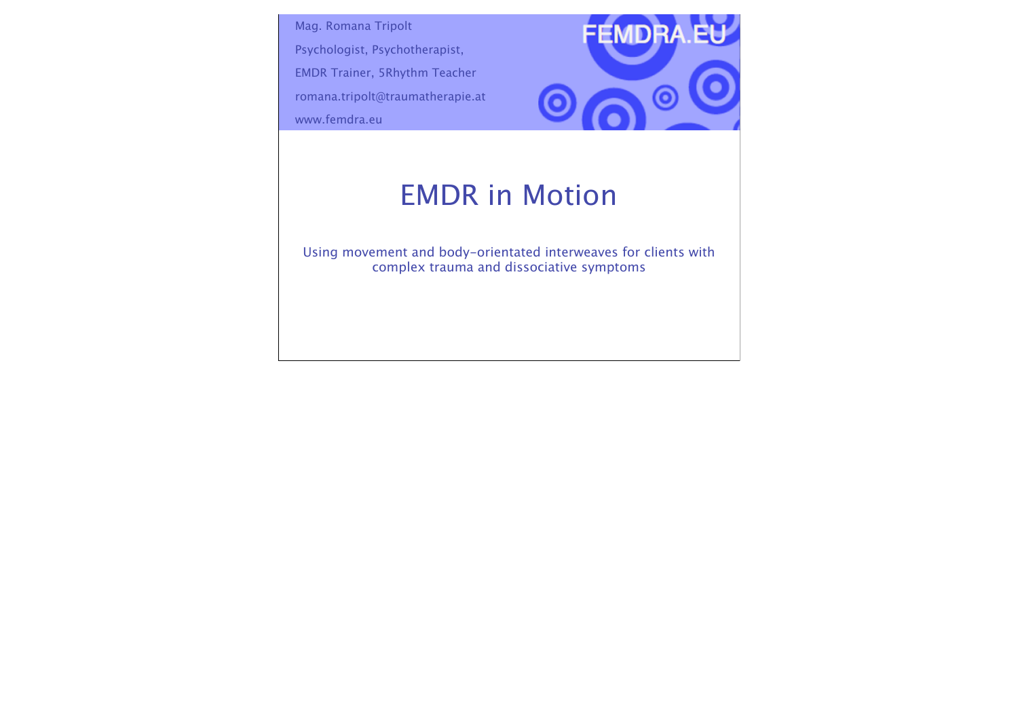Mag. Romana Tripolt

Psychologist, Psychotherapist,

EMDR Trainer, 5Rhythm Teacher

romana.tripolt@traumatherapie.at

www.femdra.eu



## EMDR in Motion

Using movement and body-orientated interweaves for clients with complex trauma and dissociative symptoms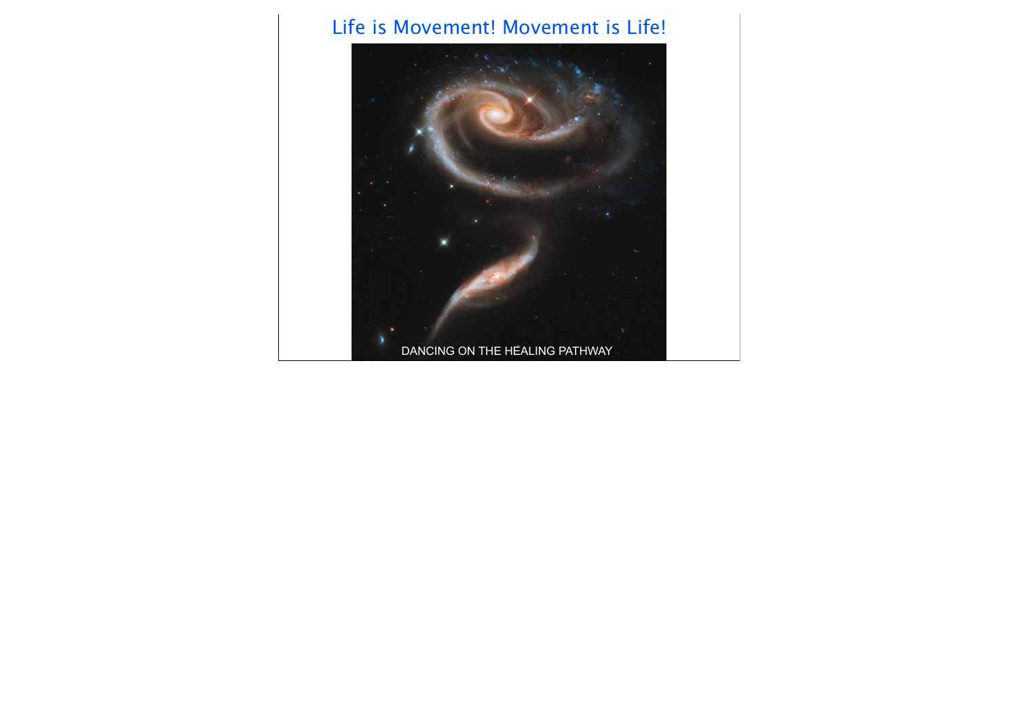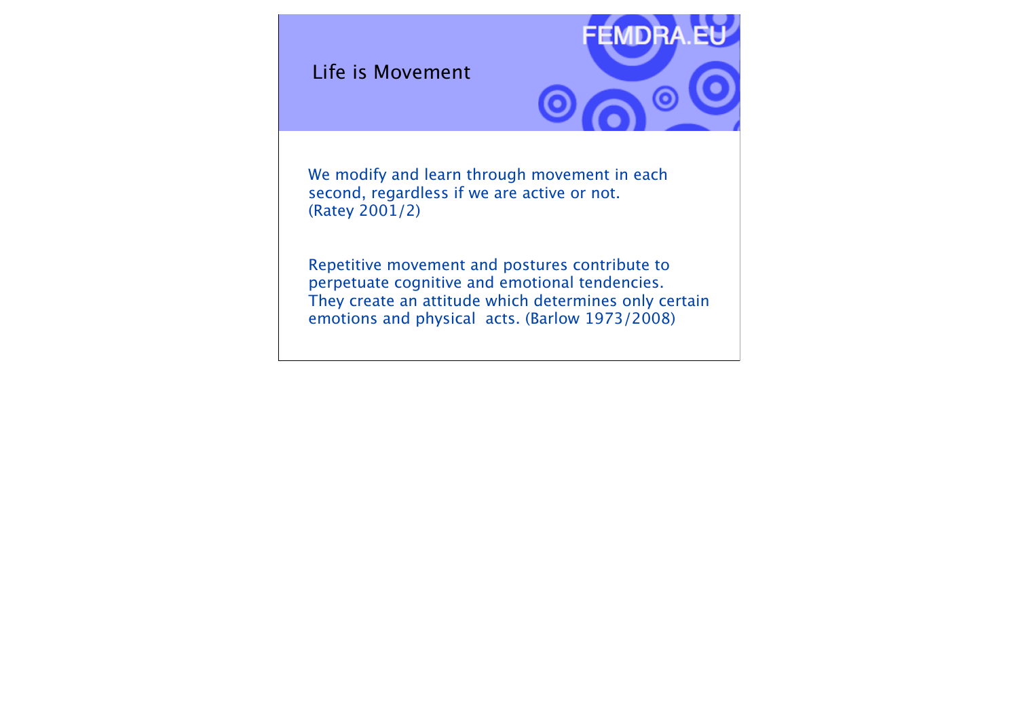Life is Movement



We modify and learn through movement in each second, regardless if we are active or not. (Ratey 2001/2)

Repetitive movement and postures contribute to perpetuate cognitive and emotional tendencies. They create an attitude which determines only certain emotions and physical acts. (Barlow 1973/2008)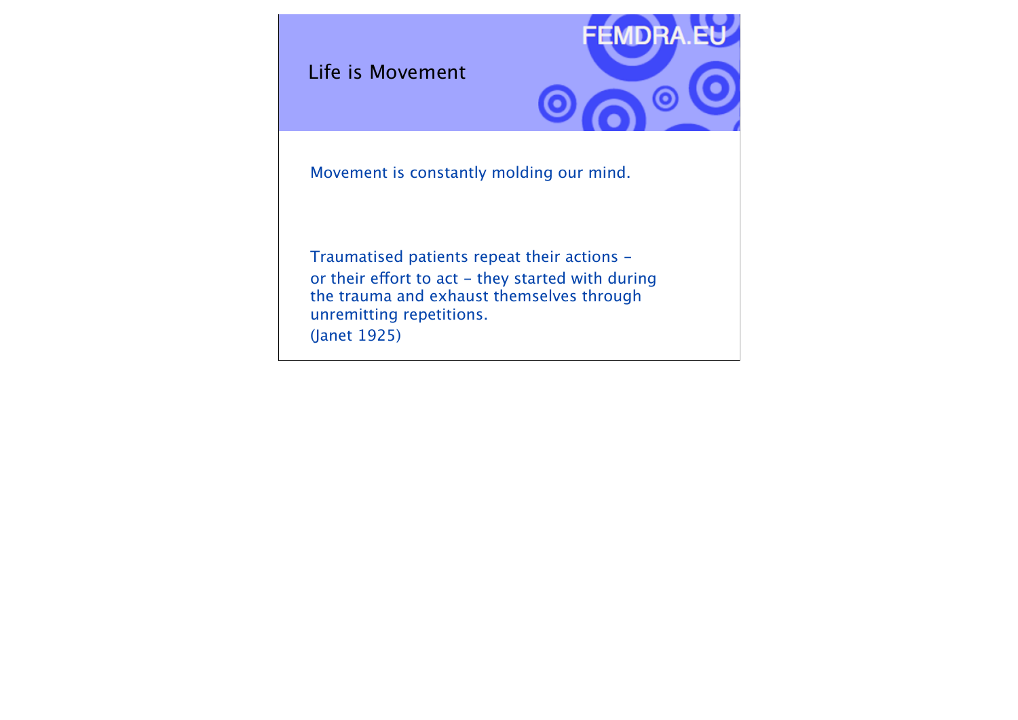Life is Movement



Movement is constantly molding our mind.

Traumatised patients repeat their actions or their effort to act - they started with during the trauma and exhaust themselves through unremitting repetitions. (Janet 1925)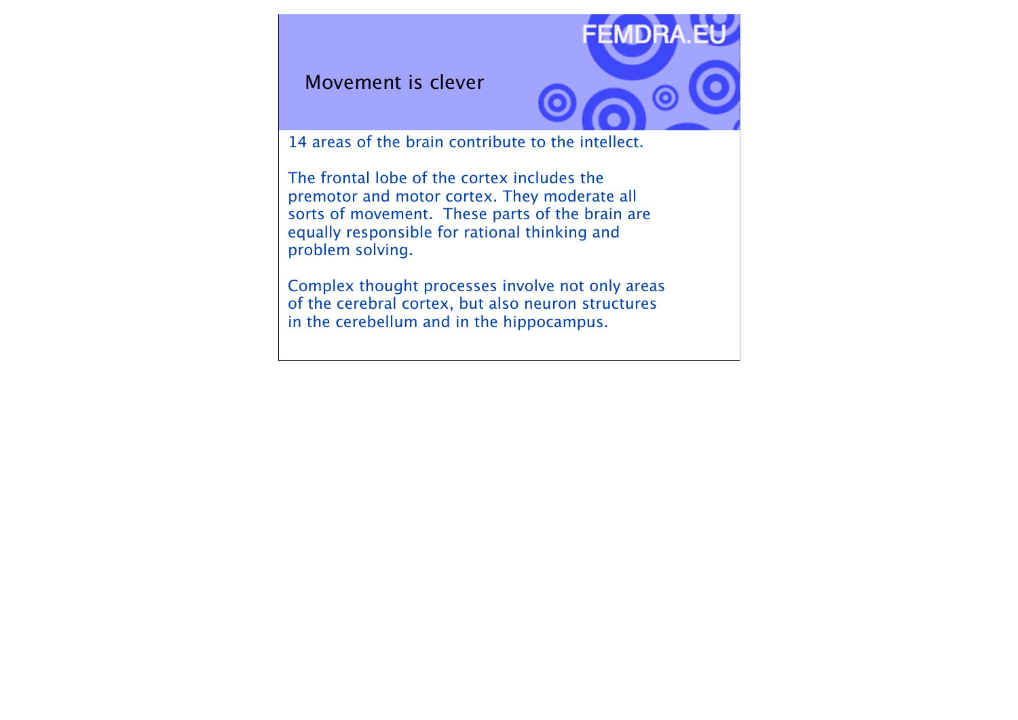Movement is clever



14 areas of the brain contribute to the intellect.

The frontal lobe of the cortex includes the premotor and motor cortex. They moderate all sorts of movement. These parts of the brain are equally responsible for rational thinking and problem solving.

Complex thought processes involve not only areas of the cerebral cortex, but also neuron structures in the cerebellum and in the hippocampus.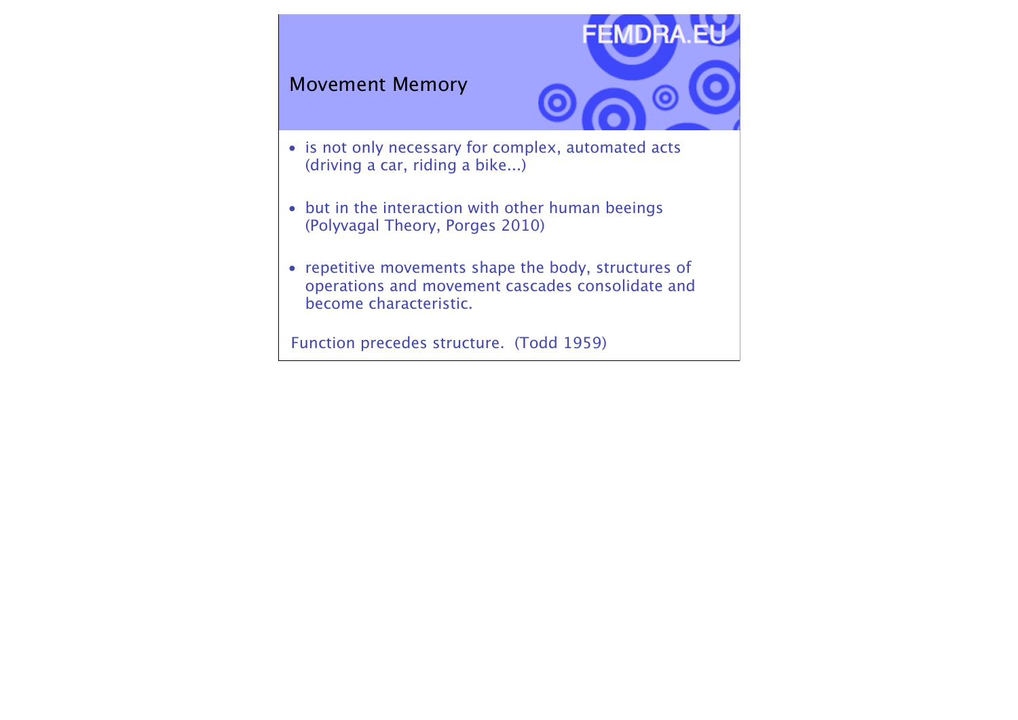#### Movement Memory



- is not only necessary for complex, automated acts (driving a car, riding a bike...)
- but in the interaction with other human beeings (Polyvagal Theory, Porges 2010)
- repetitive movements shape the body, structures of operations and movement cascades consolidate and become characteristic.

Function precedes structure. (Todd 1959)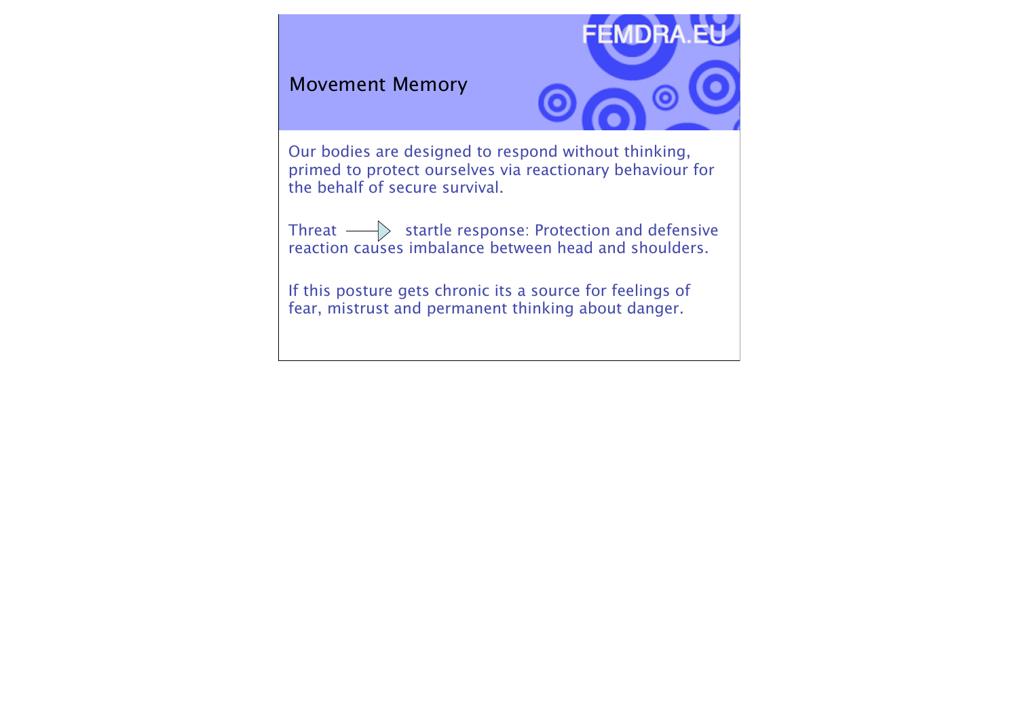#### Movement Memory



Our bodies are designed to respond without thinking, primed to protect ourselves via reactionary behaviour for the behalf of secure survival.

Threat  $\longrightarrow\hspace{-.08in} >$  startle response: Protection and defensive reaction causes imbalance between head and shoulders.

If this posture gets chronic its a source for feelings of fear, mistrust and permanent thinking about danger.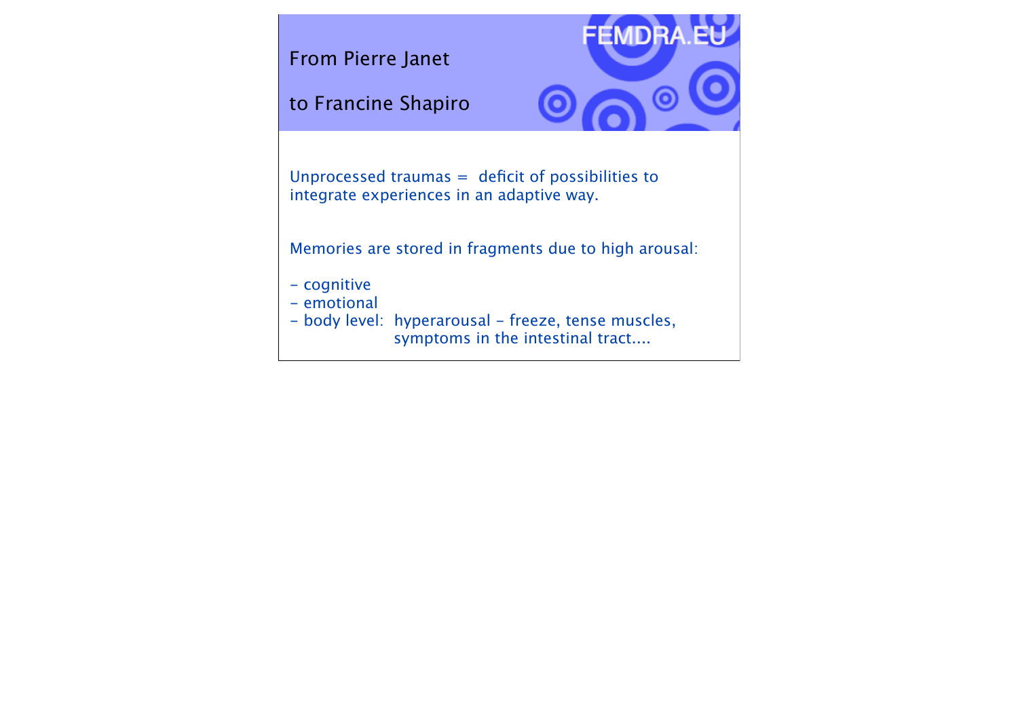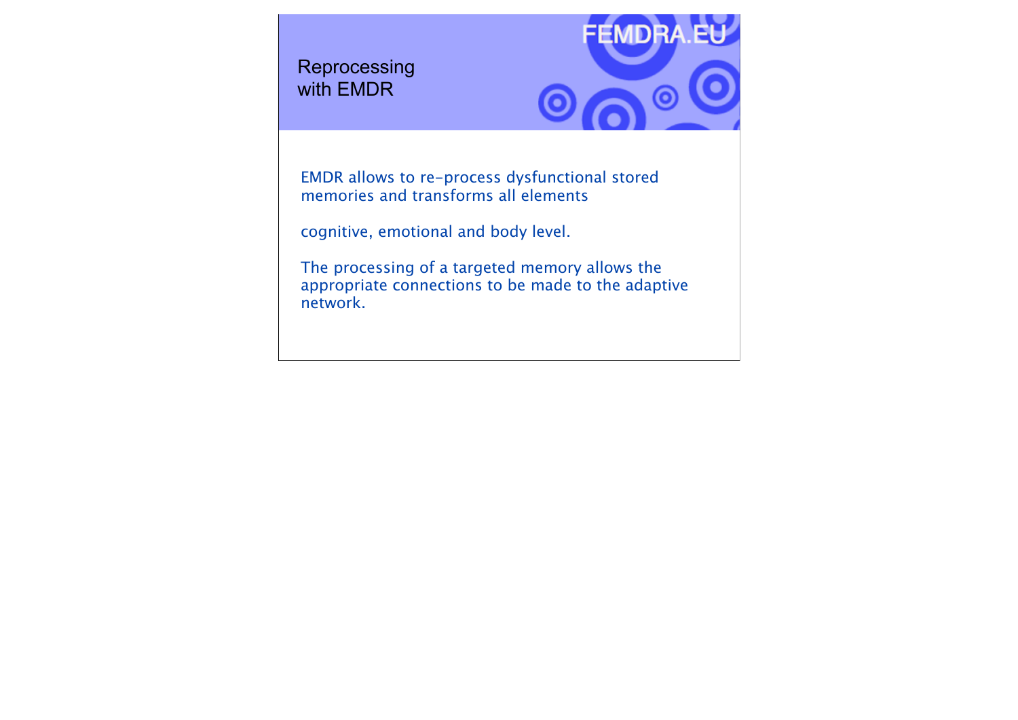**Reprocessing** with EMDR



EMDR allows to re-process dysfunctional stored memories and transforms all elements

cognitive, emotional and body level.

The processing of a targeted memory allows the appropriate connections to be made to the adaptive network.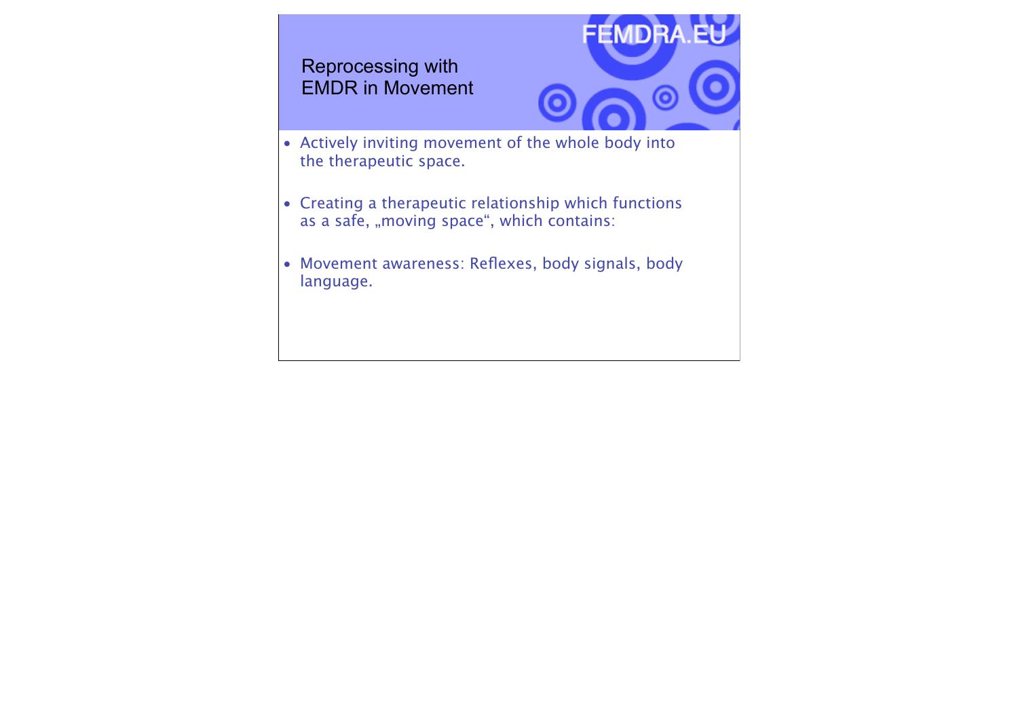#### Reprocessing with EMDR in Movement



- Actively inviting movement of the whole body into the therapeutic space.
- Creating a therapeutic relationship which functions as a safe, "moving space", which contains:
- Movement awareness: Reflexes, body signals, body language.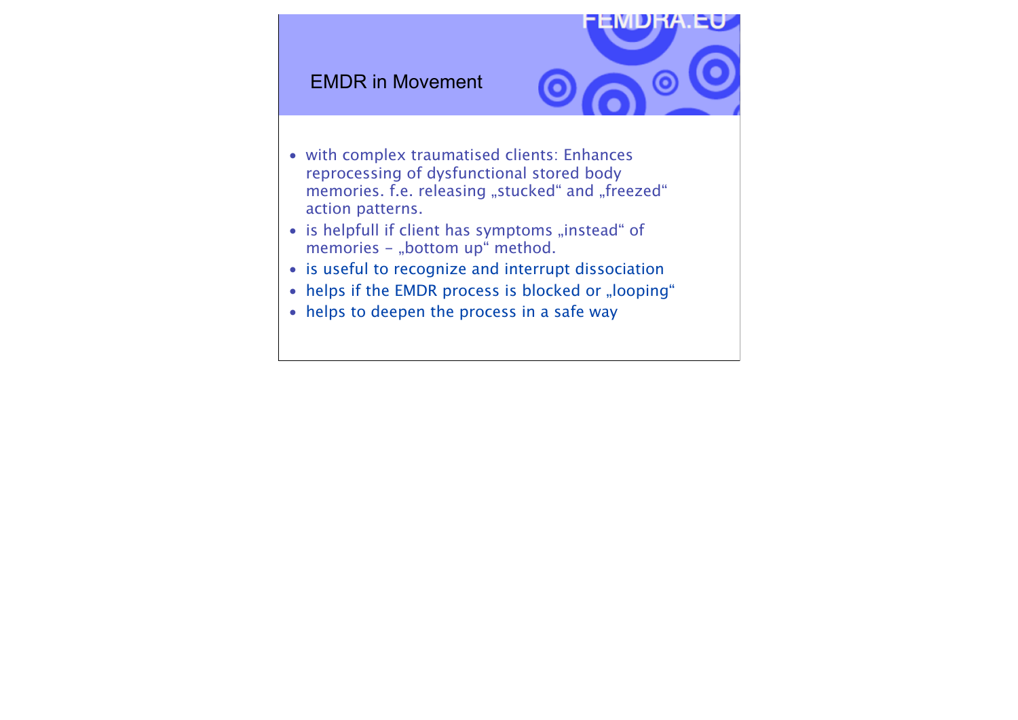#### EMDR in Movement



- with complex traumatised clients: Enhances reprocessing of dysfunctional stored body memories. f.e. releasing "stucked" and "freezed" action patterns.
- is helpfull if client has symptoms "instead" of memories - "bottom up" method.
- is useful to recognize and interrupt dissociation
- helps if the EMDR process is blocked or "looping"
- helps to deepen the process in a safe way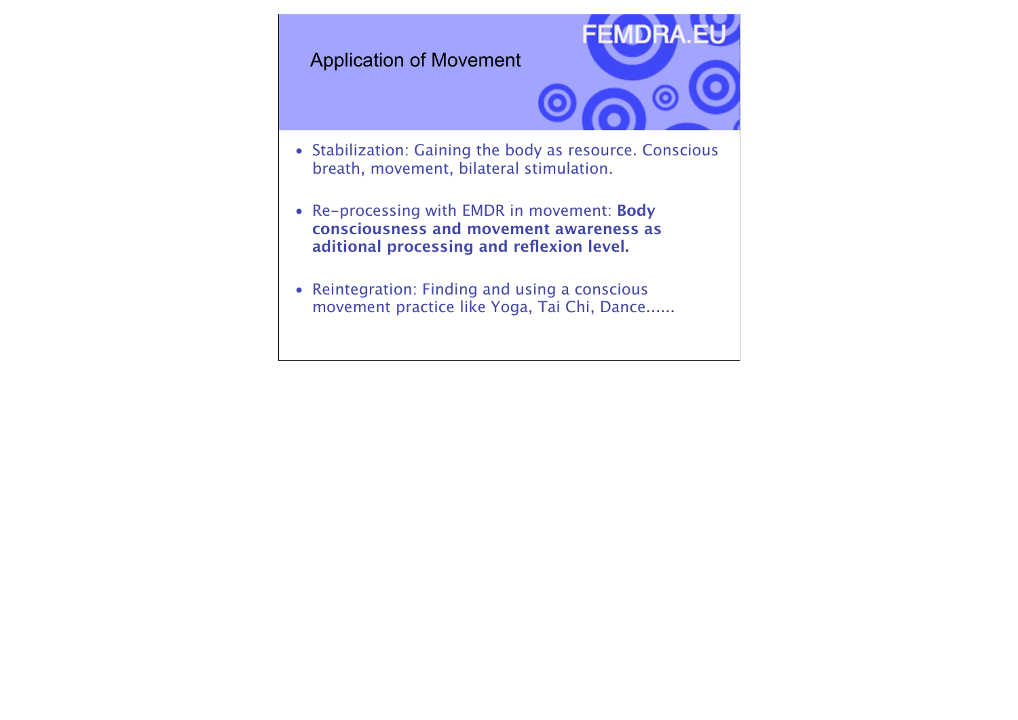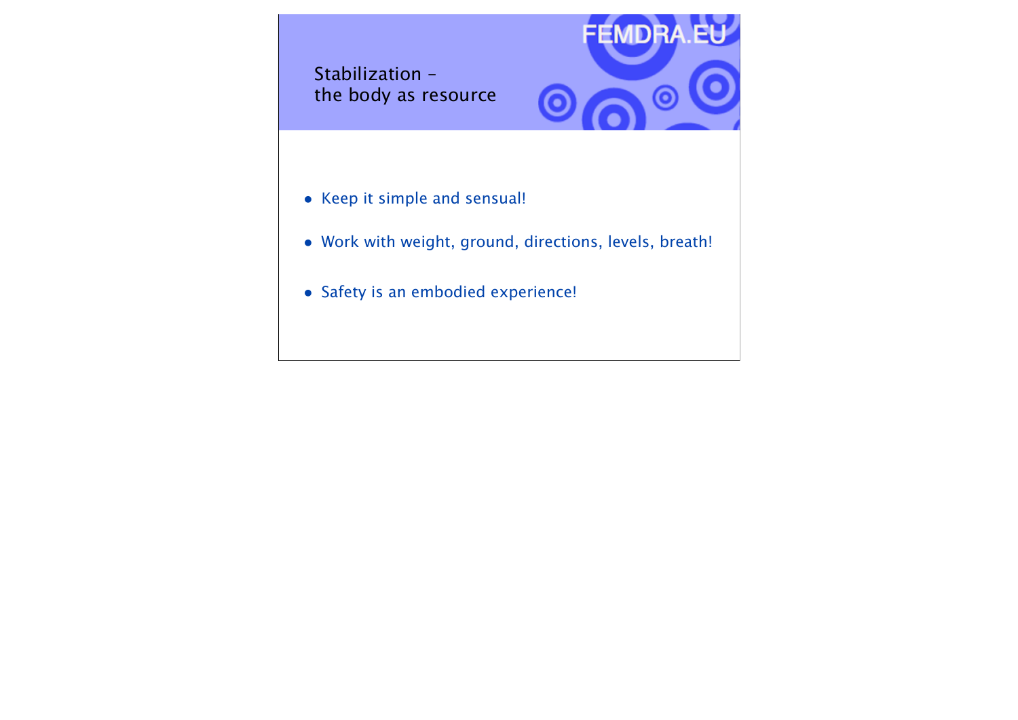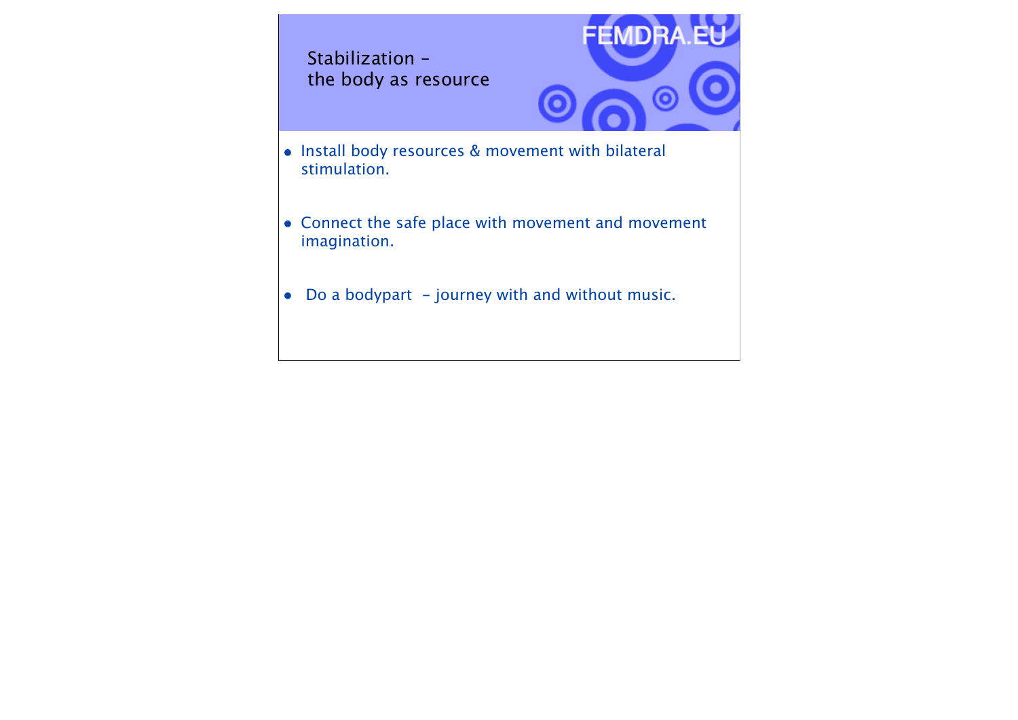Stabilization – the body as resource



- Install body resources & movement with bilateral stimulation.
- Connect the safe place with movement and movement imagination.
- $\bullet$  Do a bodypart journey with and without music.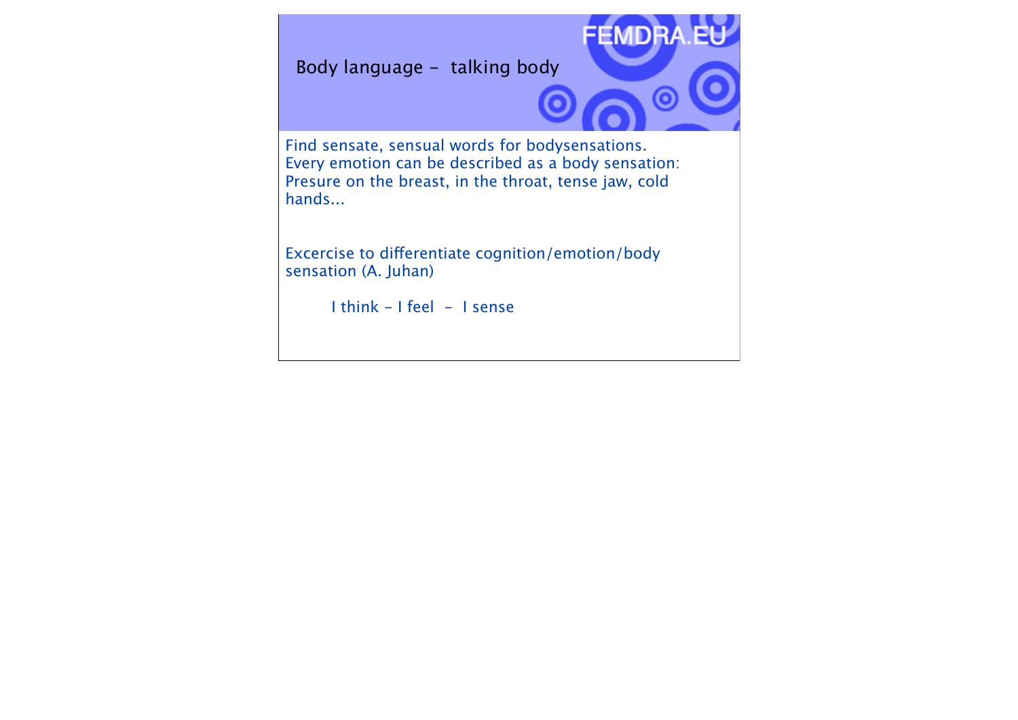Body language - talking body



Find sensate, sensual words for bodysensations. Every emotion can be described as a body sensation: Presure on the breast, in the throat, tense jaw, cold hands...

Excercise to diferentiate cognition/emotion/body sensation (A. Juhan)

I think - I feel - I sense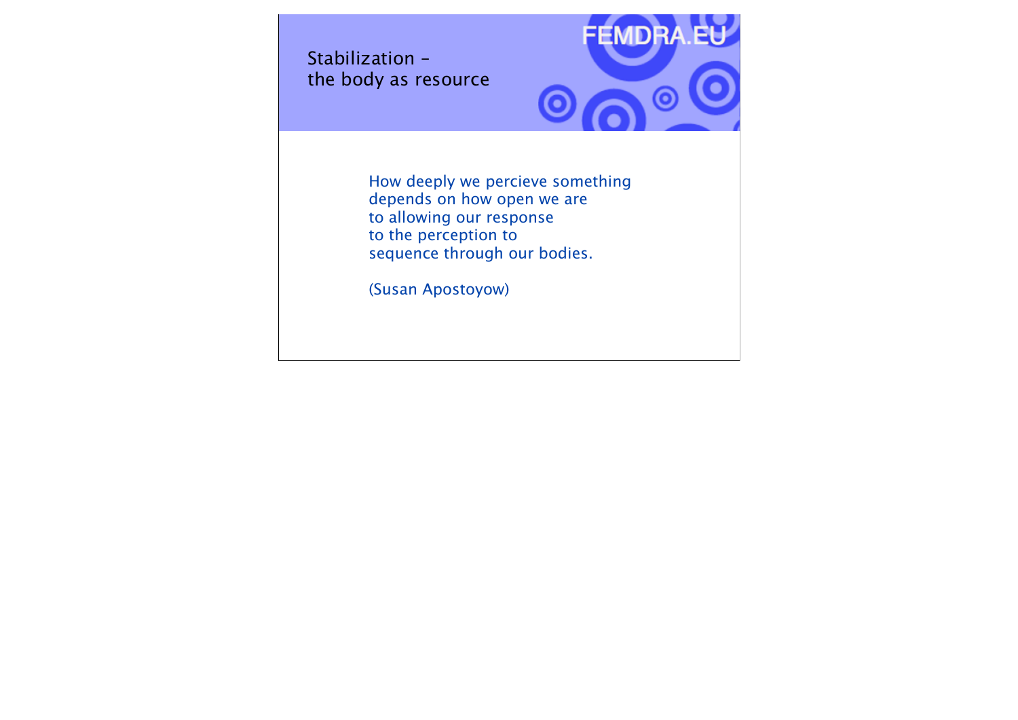Stabilization – the body as resource



How deeply we percieve something depends on how open we are to allowing our response to the perception to sequence through our bodies.

(Susan Apostoyow)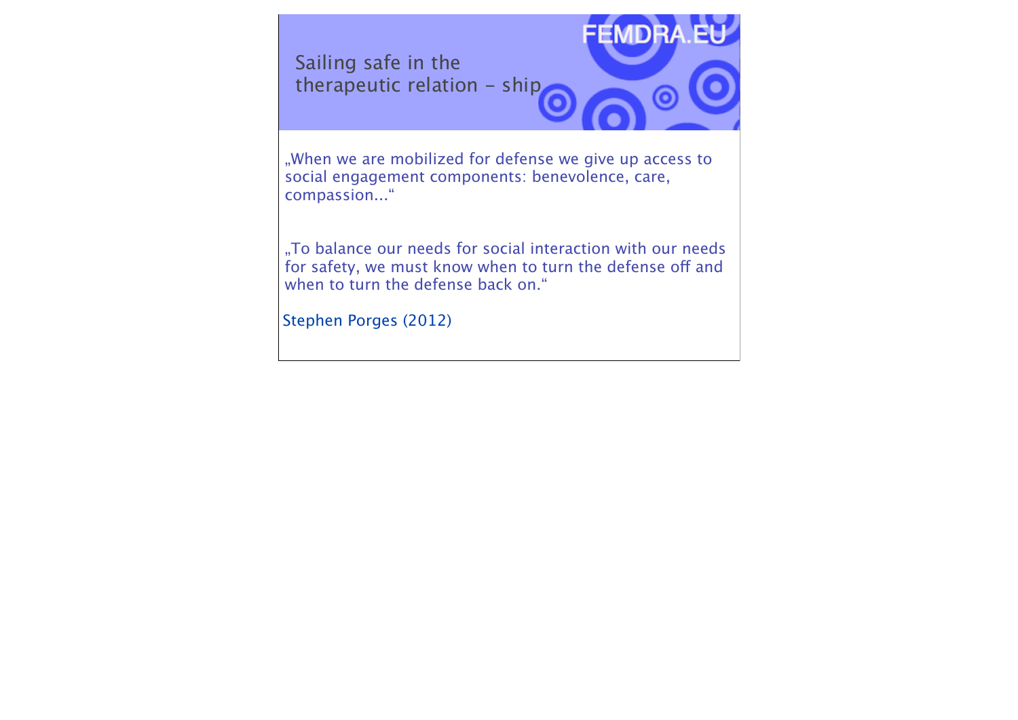Sailing safe in the therapeutic relation - ship



..When we are mobilized for defense we give up access to social engagement components: benevolence, care, compassion..."

"To balance our needs for social interaction with our needs for safety, we must know when to turn the defense off and when to turn the defense back on."

Stephen Porges (2012)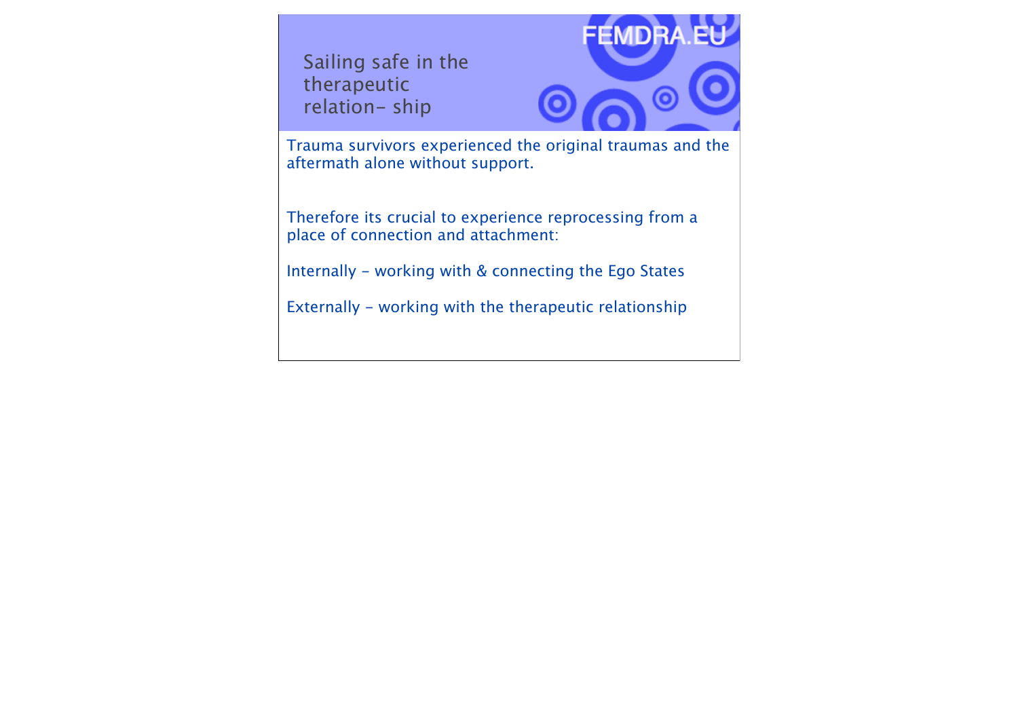Sailing safe in the therapeutic relation- ship



Trauma survivors experienced the original traumas and the aftermath alone without support.

Therefore its crucial to experience reprocessing from a place of connection and attachment:

Internally - working with & connecting the Ego States

Externally - working with the therapeutic relationship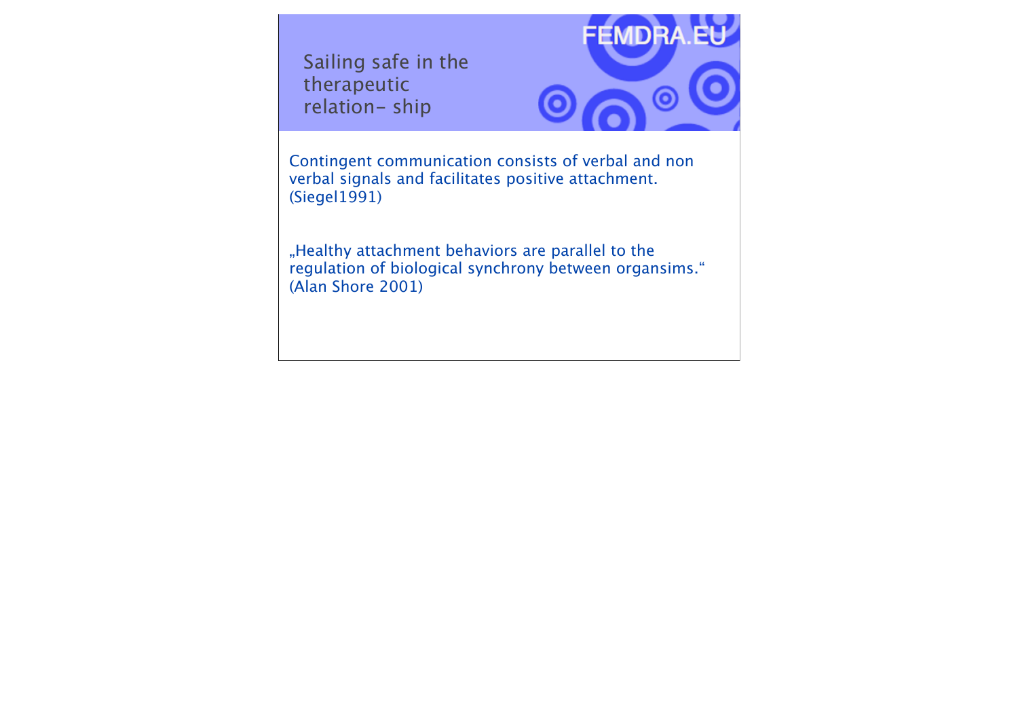Sailing safe in the therapeutic relation- ship



Contingent communication consists of verbal and non verbal signals and facilitates positive attachment. (Siegel1991)

"Healthy attachment behaviors are parallel to the regulation of biological synchrony between organsims." (Alan Shore 2001)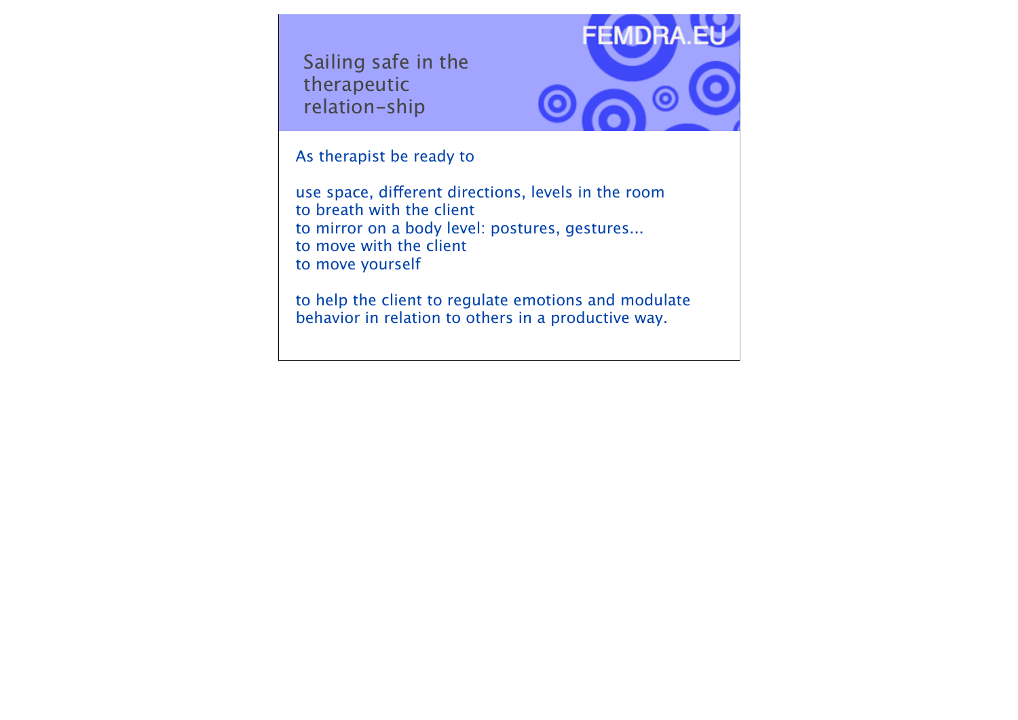Sailing safe in the therapeutic relation-ship



As therapist be ready to

use space, diferent directions, levels in the room to breath with the client to mirror on a body level: postures, gestures... to move with the client to move yourself

to help the client to regulate emotions and modulate behavior in relation to others in a productive way.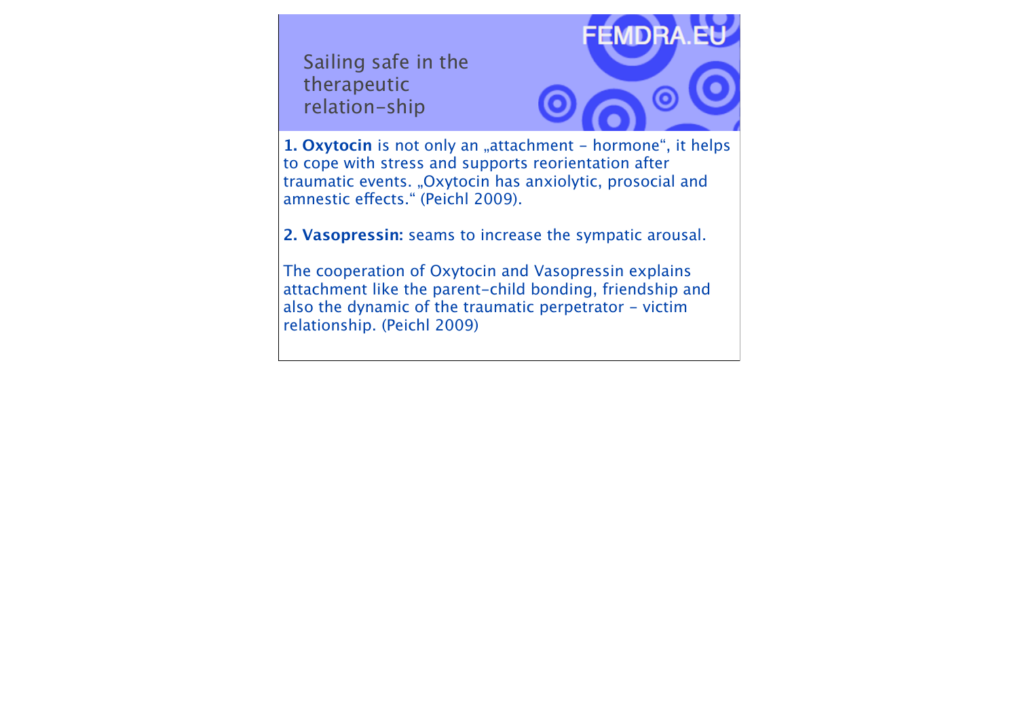Sailing safe in the therapeutic relation-ship



1. Oxytocin is not only an "attachment - hormone", it helps to cope with stress and supports reorientation after traumatic events. "Oxytocin has anxiolytic, prosocial and amnestic efects." (Peichl 2009).

**2. Vasopressin:** seams to increase the sympatic arousal.

The cooperation of Oxytocin and Vasopressin explains attachment like the parent-child bonding, friendship and also the dynamic of the traumatic perpetrator - victim relationship. (Peichl 2009)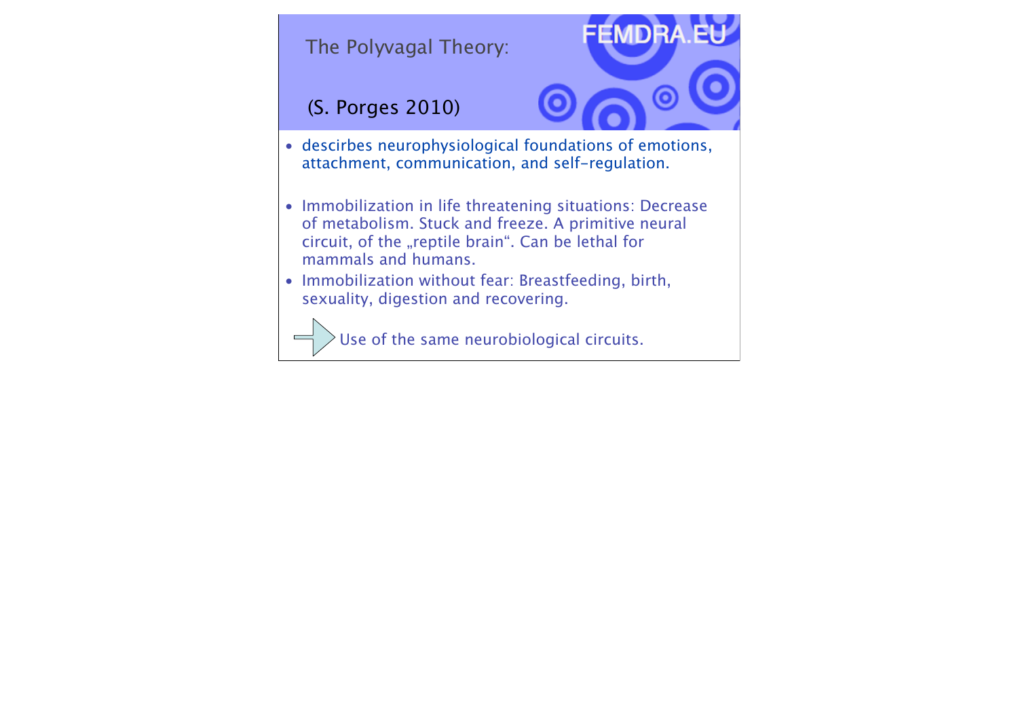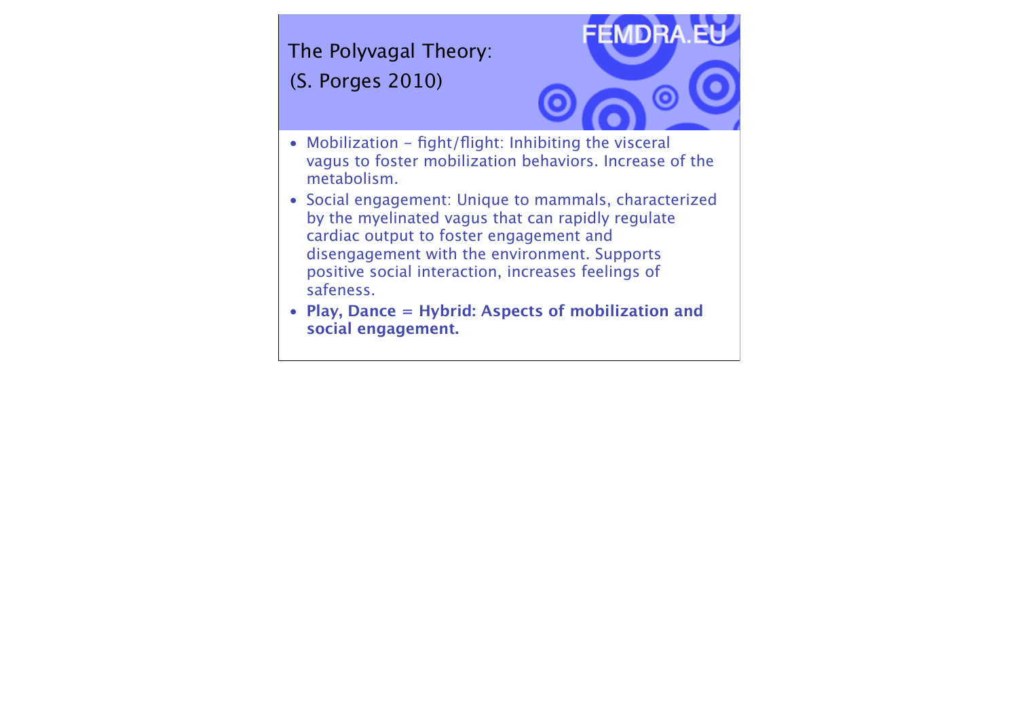The Polyvagal Theory: (S. Porges 2010)



- Mobilization fight/flight: Inhibiting the visceral vagus to foster mobilization behaviors. Increase of the metabolism.
- Social engagement: Unique to mammals, characterized by the myelinated vagus that can rapidly regulate cardiac output to foster engagement and disengagement with the environment. Supports positive social interaction, increases feelings of safeness.
- **Play, Dance = Hybrid: Aspects of mobilization and social engagement.**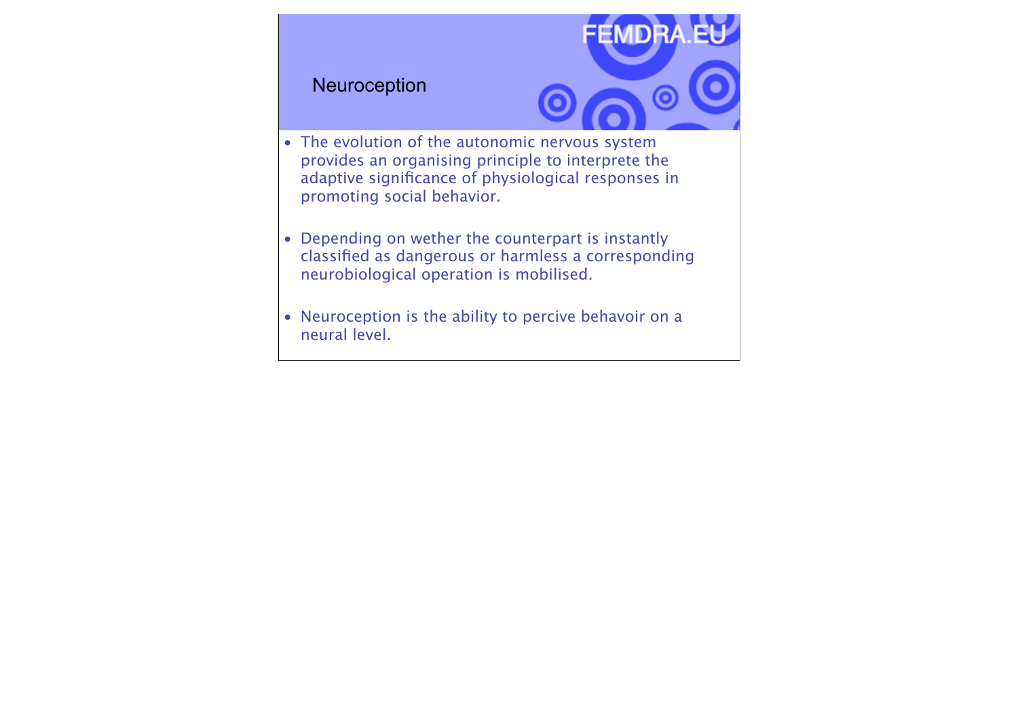#### Neuroception



- The evolution of the autonomic nervous system provides an organising principle to interprete the adaptive significance of physiological responses in promoting social behavior.
- Depending on wether the counterpart is instantly classified as dangerous or harmless a corresponding neurobiological operation is mobilised.
- Neuroception is the ability to percive behavoir on a neural level.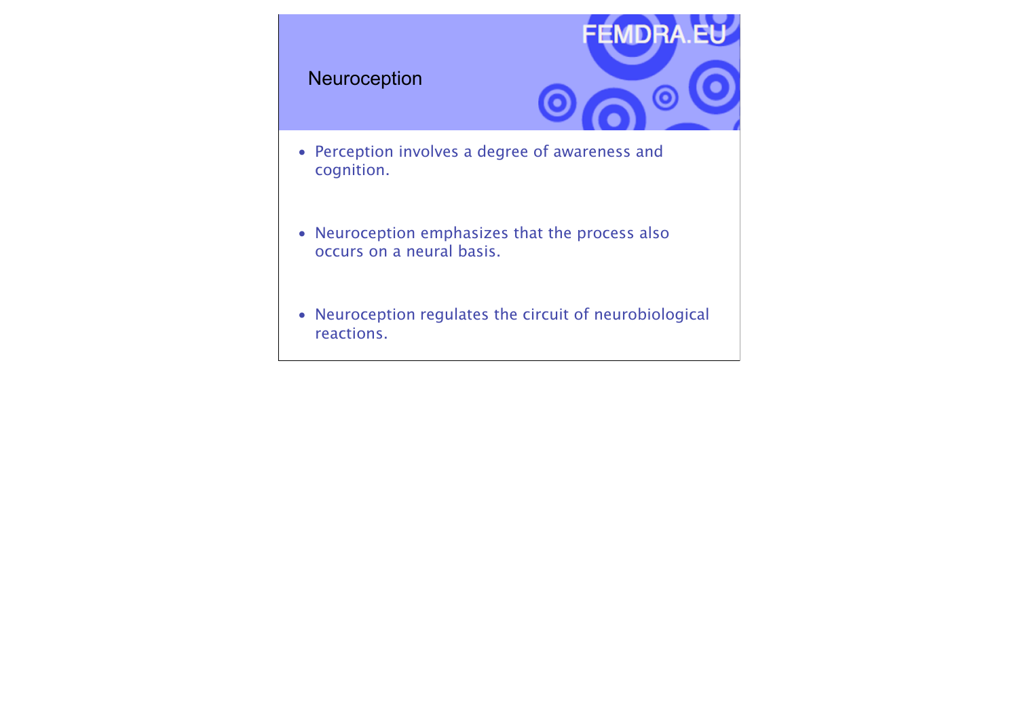#### Neuroception



- Perception involves a degree of awareness and cognition.
- Neuroception emphasizes that the process also occurs on a neural basis.
- Neuroception regulates the circuit of neurobiological reactions.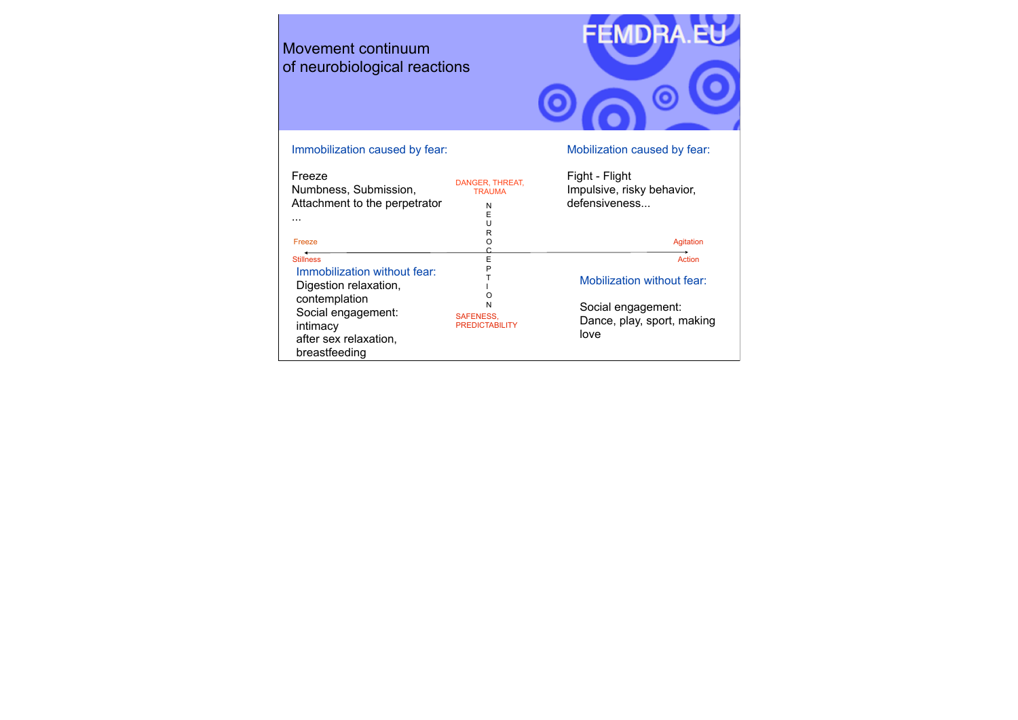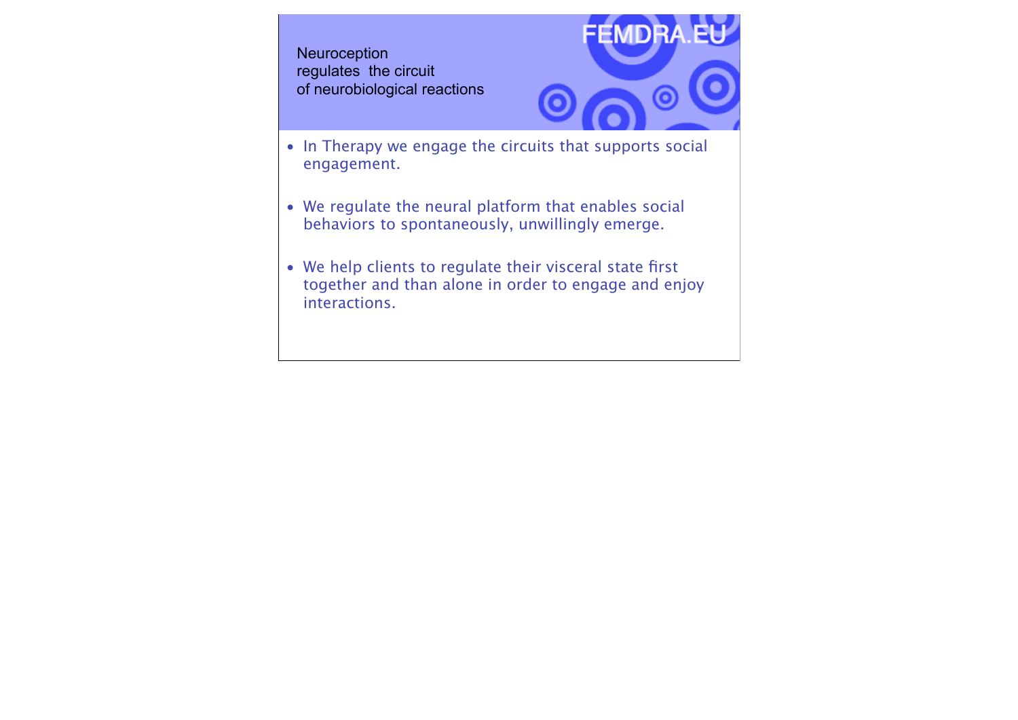**Neuroception** regulates the circuit of neurobiological reactions



- In Therapy we engage the circuits that supports social engagement.
- We regulate the neural platform that enables social behaviors to spontaneously, unwillingly emerge.
- We help clients to regulate their visceral state first together and than alone in order to engage and enjoy interactions.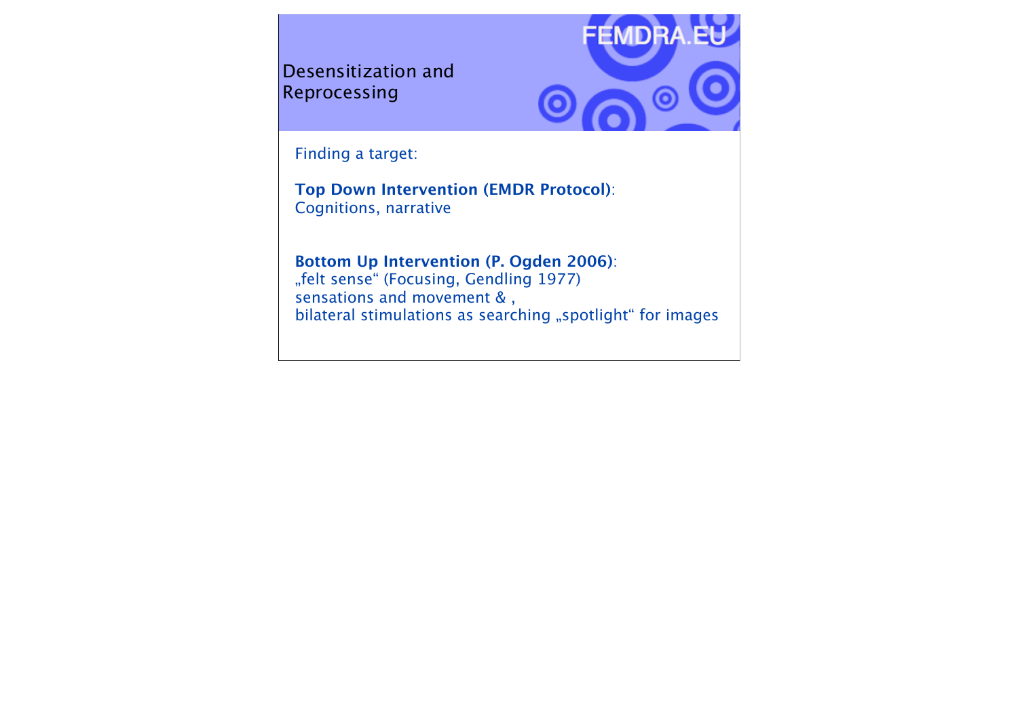Desensitization and Reprocessing



Finding a target:

**Top Down Intervention (EMDR Protocol)**: Cognitions, narrative

**Bottom Up Intervention (P. Ogden 2006)**: "felt sense" (Focusing, Gendling 1977) sensations and movement &, bilateral stimulations as searching "spotlight" for images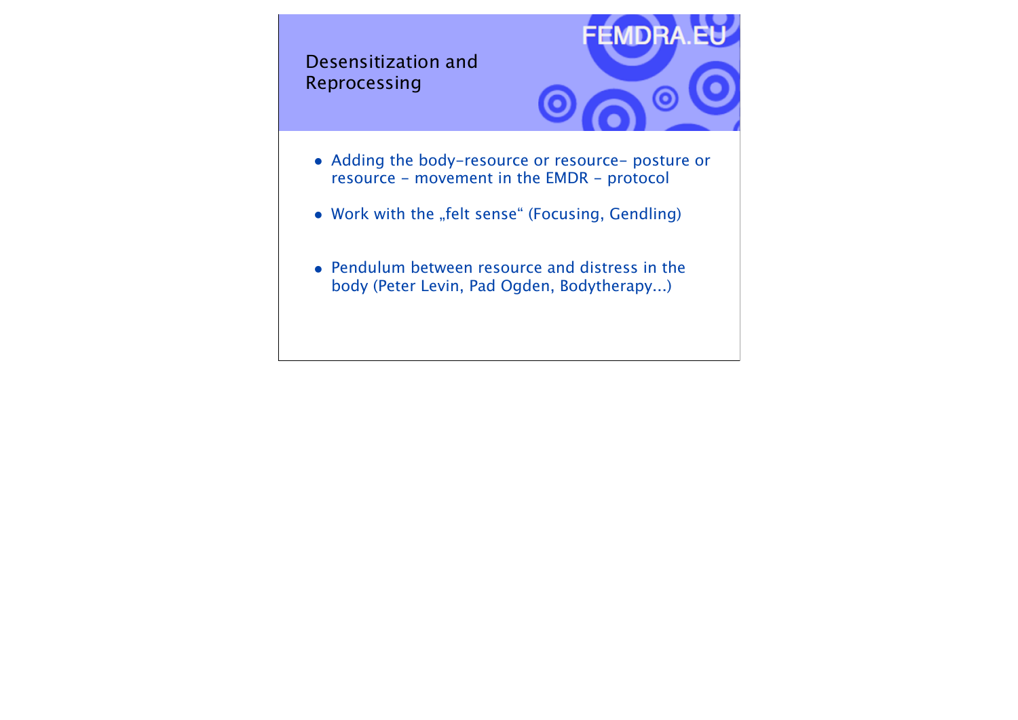Desensitization and Reprocessing



- Adding the body-resource or resource- posture or resource - movement in the EMDR - protocol
- Work with the "felt sense" (Focusing, Gendling)
- Pendulum between resource and distress in the body (Peter Levin, Pad Ogden, Bodytherapy...)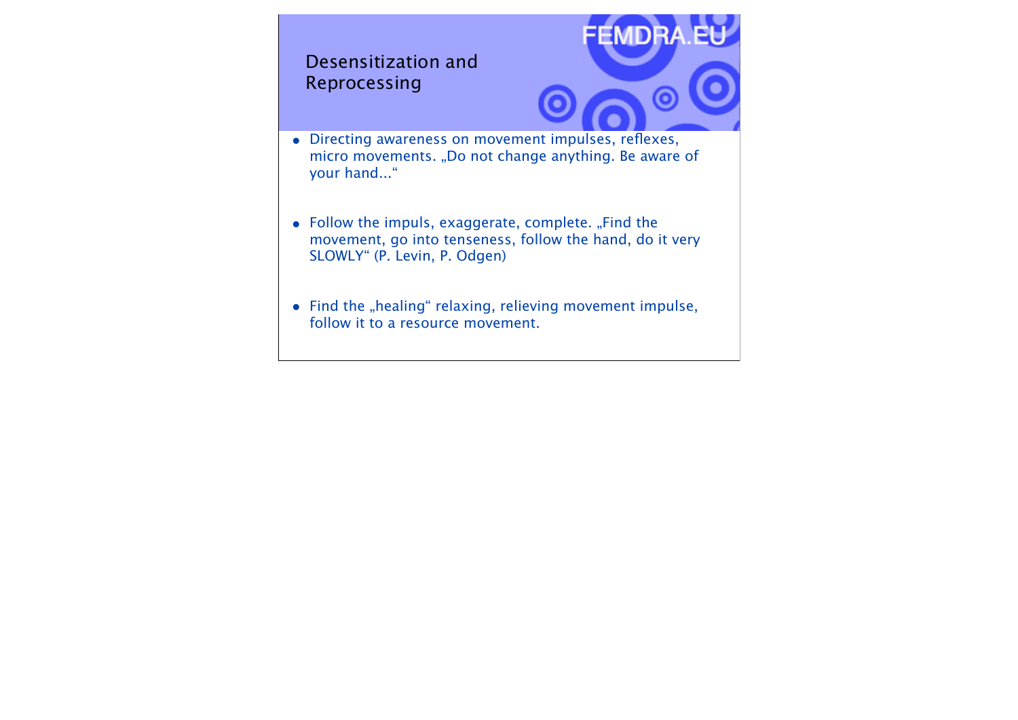# • Directing awareness on movement impulses, reflexes, micro movements. "Do not change anything. Be aware of your hand..." • Follow the impuls, exaggerate, complete. "Find the movement, go into tenseness, follow the hand, do it very SLOWLY" (P. Levin, P. Odgen) Desensitization and Reprocessing

 $\bullet$  Find the "healing" relaxing, relieving movement impulse, follow it to a resource movement.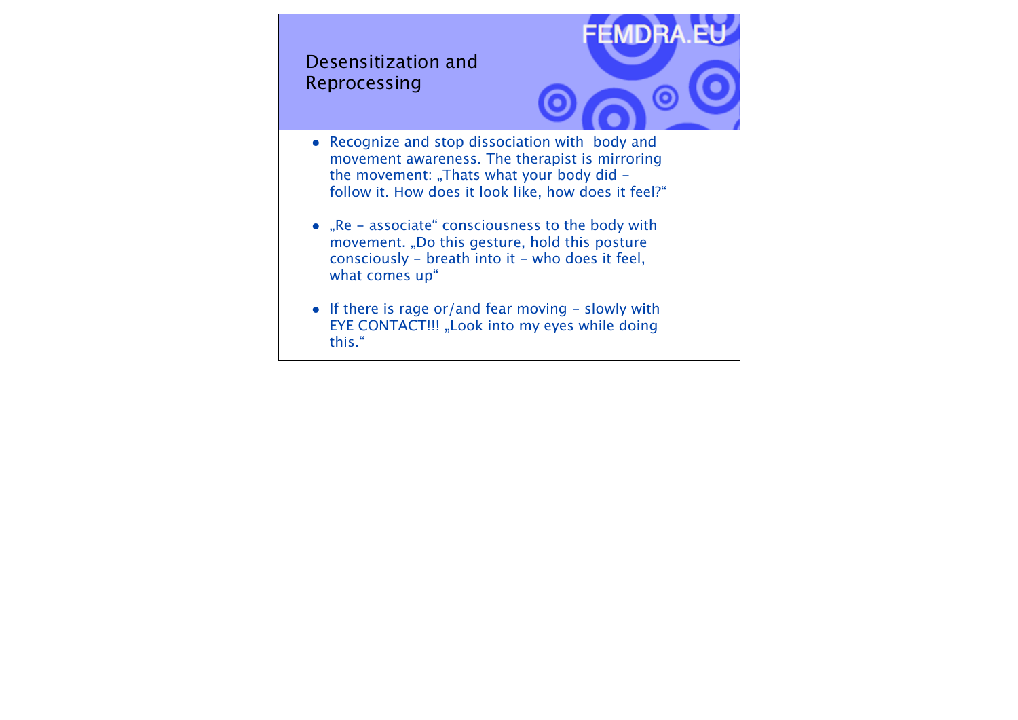### Desensitization and Reprocessing



- Recognize and stop dissociation with body and movement awareness. The therapist is mirroring the movement: "Thats what your body did  $$ follow it. How does it look like, how does it feel?"
- "Re associate" consciousness to the body with movement. "Do this gesture, hold this posture consciously - breath into it - who does it feel, what comes up"
- If there is rage or/and fear moving slowly with EYE CONTACT!!! "Look into my eyes while doing this."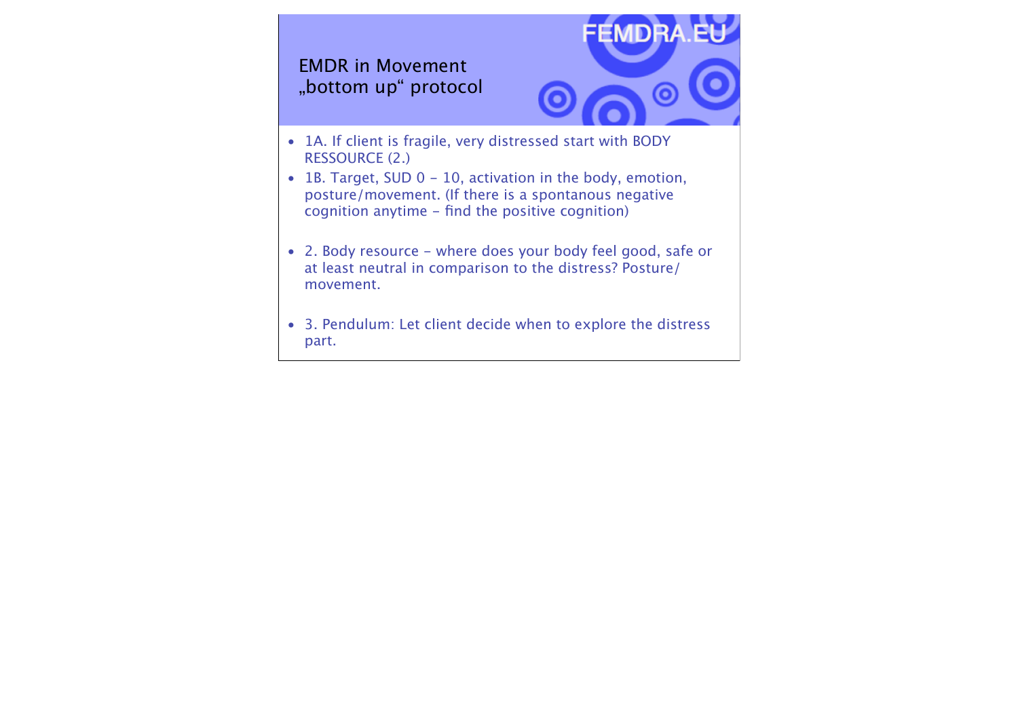## EMDR in Movement "bottom up" protocol



- 1A. If client is fragile, very distressed start with BODY RESSOURCE (2.)
- 1B. Target, SUD 0 10, activation in the body, emotion, posture/movement. (If there is a spontanous negative cognition anytime - find the positive cognition)
- 2. Body resource where does your body feel good, safe or at least neutral in comparison to the distress? Posture/ movement.
- 3. Pendulum: Let client decide when to explore the distress part. The contract of the contract of the contract of the contract of the contract of the contract of the contract of the contract of the contract of the contract of the contract of the contract of the contract of the cont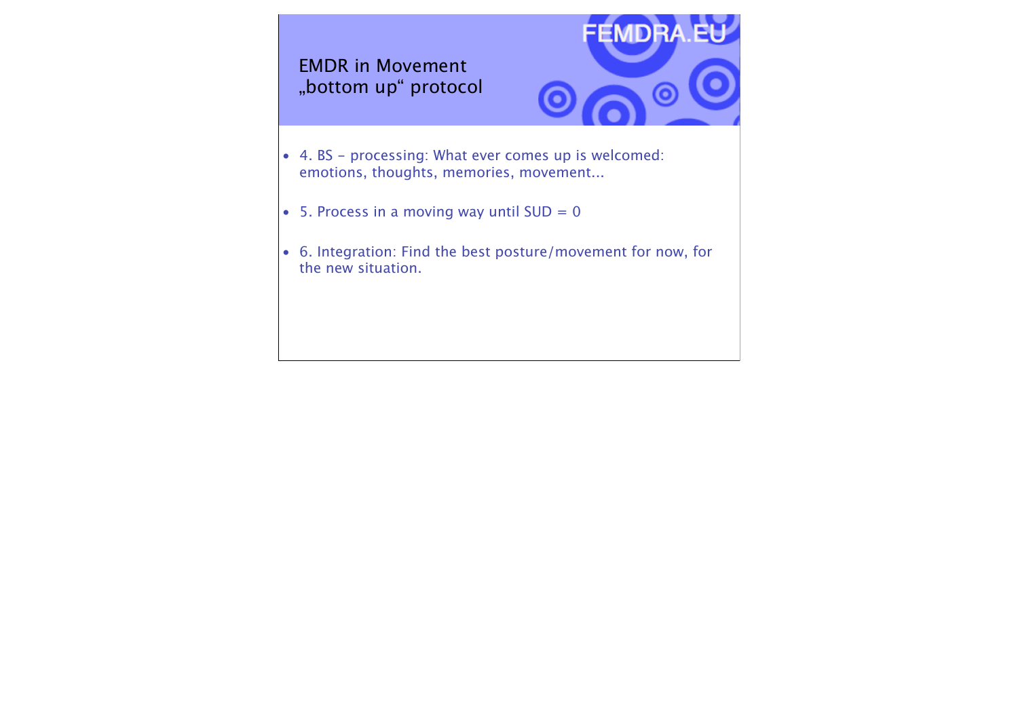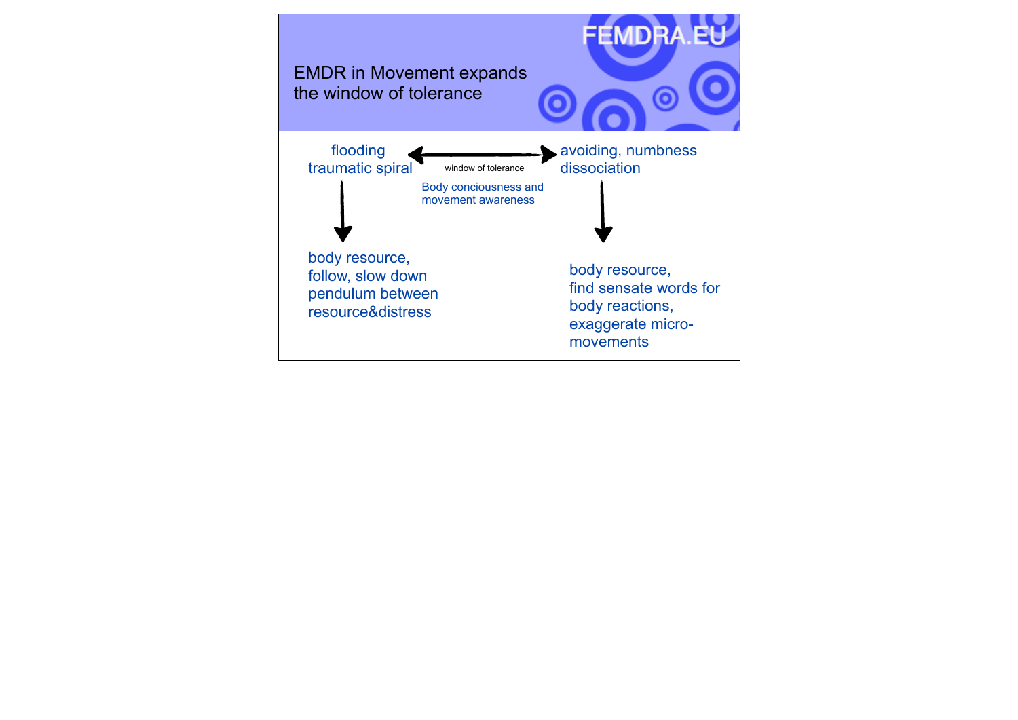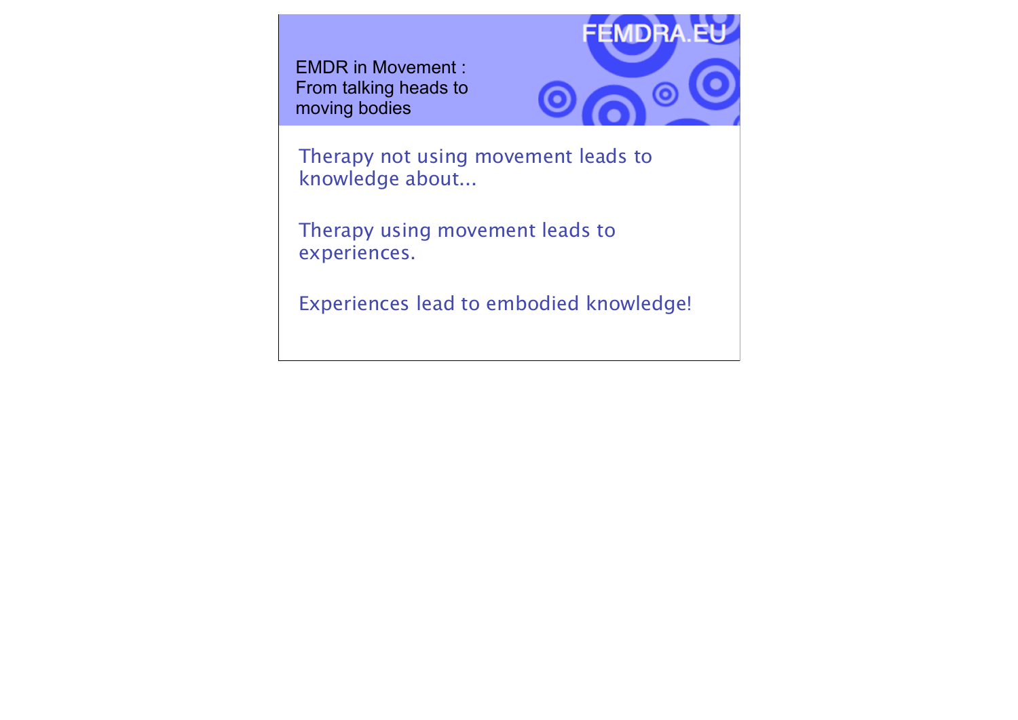EMDR in Movement : From talking heads to moving bodies



Therapy not using movement leads to knowledge about...

Therapy using movement leads to experiences.

Experiences lead to embodied knowledge!